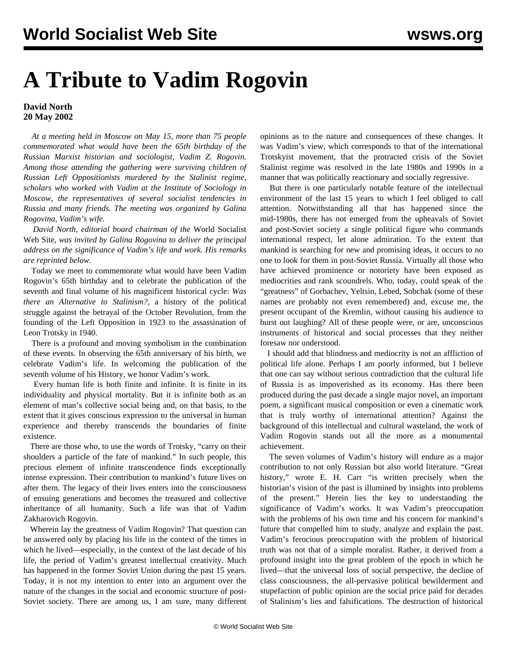## **A Tribute to Vadim Rogovin**

## **David North 20 May 2002**

 *At a meeting held in Moscow on May 15, more than 75 people commemorated what would have been the 65th birthday of the Russian Marxist historian and sociologist, Vadim Z. Rogovin. Among those attending the gathering were surviving children of Russian Left Oppositionists murdered by the Stalinist regime, scholars who worked with Vadim at the Institute of Sociology in Moscow, the representatives of several socialist tendencies in Russia and many friends. The meeting was organized by Galina Rogovina, Vadim's wife.*

 *David North, editorial board chairman of the* World Socialist Web Site*, was invited by Galina Rogovina to deliver the principal address on the significance of Vadim's life and work. His remarks are reprinted below.*

 Today we meet to commemorate what would have been Vadim Rogovin's 65th birthday and to celebrate the publication of the seventh and final volume of his magnificent historical cycle: *Was there an Alternative to Stalinism?,* a history of the political struggle against the betrayal of the October Revolution, from the founding of the Left Opposition in 1923 to the assassination of Leon Trotsky in 1940.

 There is a profound and moving symbolism in the combination of these events. In observing the 65th anniversary of his birth, we celebrate Vadim's life. In welcoming the publication of the seventh volume of his History, we honor Vadim's work.

 Every human life is both finite and infinite. It is finite in its individuality and physical mortality. But it is infinite both as an element of man's collective social being and, on that basis, to the extent that it gives conscious expression to the universal in human experience and thereby transcends the boundaries of finite existence.

 There are those who, to use the words of Trotsky, "carry on their shoulders a particle of the fate of mankind." In such people, this precious element of infinite transcendence finds exceptionally intense expression. Their contribution to mankind's future lives on after them. The legacy of their lives enters into the consciousness of ensuing generations and becomes the treasured and collective inheritance of all humanity. Such a life was that of Vadim Zakharovich Rogovin.

 Wherein lay the greatness of Vadim Rogovin? That question can be answered only by placing his life in the context of the times in which he lived—especially, in the context of the last decade of his life, the period of Vadim's greatest intellectual creativity. Much has happened in the former Soviet Union during the past 15 years. Today, it is not my intention to enter into an argument over the nature of the changes in the social and economic structure of post-Soviet society. There are among us, I am sure, many different

opinions as to the nature and consequences of these changes. It was Vadim's view, which corresponds to that of the international Trotskyist movement, that the protracted crisis of the Soviet Stalinist regime was resolved in the late 1980s and 1990s in a manner that was politically reactionary and socially regressive.

 But there is one particularly notable feature of the intellectual environment of the last 15 years to which I feel obliged to call attention. Notwithstanding all that has happened since the mid-1980s, there has not emerged from the upheavals of Soviet and post-Soviet society a single political figure who commands international respect, let alone admiration. To the extent that mankind is searching for new and promising ideas, it occurs to no one to look for them in post-Soviet Russia. Virtually all those who have achieved prominence or notoriety have been exposed as mediocrities and rank scoundrels. Who, today, could speak of the "greatness" of Gorbachev, Yeltsin, Lebed, Sobchak (some of these names are probably not even remembered) and, excuse me, the present occupant of the Kremlin, without causing his audience to burst out laughing? All of these people were, or are, unconscious instruments of historical and social processes that they neither foresaw nor understood.

 I should add that blindness and mediocrity is not an affliction of political life alone. Perhaps I am poorly informed, but I believe that one can say without serious contradiction that the cultural life of Russia is as impoverished as its economy. Has there been produced during the past decade a single major novel, an important poem, a significant musical composition or even a cinematic work that is truly worthy of international attention? Against the background of this intellectual and cultural wasteland, the work of Vadim Rogovin stands out all the more as a monumental achievement.

 The seven volumes of Vadim's history will endure as a major contribution to not only Russian but also world literature. "Great history," wrote E. H. Carr "is written precisely when the historian's vision of the past is illumined by insights into problems of the present." Herein lies the key to understanding the significance of Vadim's works. It was Vadim's preoccupation with the problems of his own time and his concern for mankind's future that compelled him to study, analyze and explain the past. Vadim's ferocious preoccupation with the problem of historical truth was not that of a simple moralist. Rather, it derived from a profound insight into the great problem of the epoch in which he lived—that the universal loss of social perspective, the decline of class consciousness, the all-pervasive political bewilderment and stupefaction of public opinion are the social price paid for decades of Stalinism's lies and falsifications. The destruction of historical